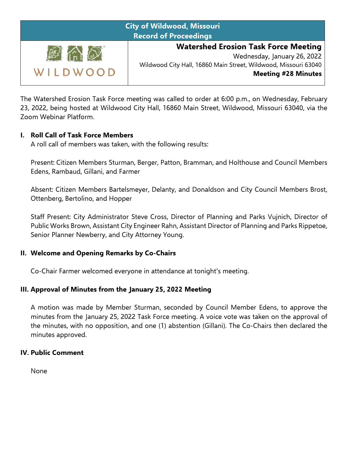| <b>City of Wildwood, Missouri</b><br><b>Record of Proceedings</b> |                                                                                                                                                                             |
|-------------------------------------------------------------------|-----------------------------------------------------------------------------------------------------------------------------------------------------------------------------|
| WILDWOOD                                                          | <b>Watershed Erosion Task Force Meeting</b><br>Wednesday, January 26, 2022<br>Wildwood City Hall, 16860 Main Street, Wildwood, Missouri 63040<br><b>Meeting #28 Minutes</b> |

The Watershed Erosion Task Force meeting was called to order at 6:00 p.m., on Wednesday, February 23, 2022, being hosted at Wildwood City Hall, 16860 Main Street, Wildwood, Missouri 63040, via the Zoom Webinar Platform.

## **I. Roll Call of Task Force Members**

A roll call of members was taken, with the following results:

Present: Citizen Members Sturman, Berger, Patton, Bramman, and Holthouse and Council Members Edens, Rambaud, Gillani, and Farmer

Absent: Citizen Members Bartelsmeyer, Delanty, and Donaldson and City Council Members Brost, Ottenberg, Bertolino, and Hopper

Staff Present: City Administrator Steve Cross, Director of Planning and Parks Vujnich, Director of Public Works Brown, Assistant City Engineer Rahn, Assistant Director of Planning and Parks Rippetoe, Senior Planner Newberry, and City Attorney Young.

#### **II. Welcome and Opening Remarks by Co-Chairs**

Co-Chair Farmer welcomed everyone in attendance at tonight's meeting.

## **III. Approval of Minutes from the January 25, 2022 Meeting**

A motion was made by Member Sturman, seconded by Council Member Edens, to approve the minutes from the January 25, 2022 Task Force meeting. A voice vote was taken on the approval of the minutes, with no opposition, and one (1) abstention (Gillani). The Co-Chairs then declared the minutes approved.

#### **IV. Public Comment**

None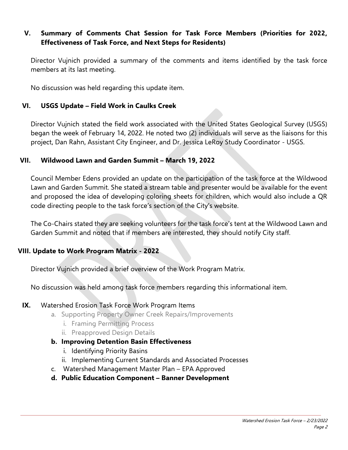## **V. Summary of Comments Chat Session for Task Force Members (Priorities for 2022, Effectiveness of Task Force, and Next Steps for Residents)**

Director Vujnich provided a summary of the comments and items identified by the task force members at its last meeting.

No discussion was held regarding this update item.

## **VI. USGS Update – Field Work in Caulks Creek**

Director Vujnich stated the field work associated with the United States Geological Survey (USGS) began the week of February 14, 2022. He noted two (2) individuals will serve as the liaisons for this project, Dan Rahn, Assistant City Engineer, and Dr. Jessica LeRoy Study Coordinator - USGS.

#### **VII. Wildwood Lawn and Garden Summit – March 19, 2022**

Council Member Edens provided an update on the participation of the task force at the Wildwood Lawn and Garden Summit. She stated a stream table and presenter would be available for the event and proposed the idea of developing coloring sheets for children, which would also include a QR code directing people to the task force's section of the City's website.

The Co-Chairs stated they are seeking volunteers for the task force's tent at the Wildwood Lawn and Garden Summit and noted that if members are interested, they should notify City staff.

## **VIII. Update to Work Program Matrix - 2022**

Director Vujnich provided a brief overview of the Work Program Matrix.

No discussion was held among task force members regarding this informational item.

#### **IX.** Watershed Erosion Task Force Work Program Items

- a. Supporting Property Owner Creek Repairs/Improvements
	- i. Framing Permitting Process
	- ii. Preapproved Design Details
- **b. Improving Detention Basin Effectiveness**
	- i. Identifying Priority Basins
	- ii. Implementing Current Standards and Associated Processes
- c. Watershed Management Master Plan EPA Approved
- **d. Public Education Component – Banner Development**